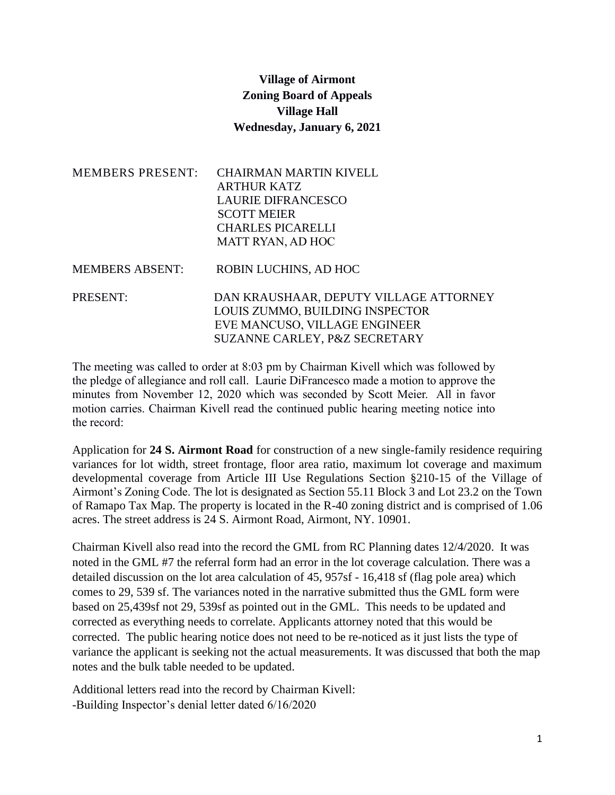## **Village of Airmont Zoning Board of Appeals Village Hall Wednesday, January 6, 2021**

| <b>MEMBERS PRESENT:</b> | <b>CHAIRMAN MARTIN KIVELL</b><br><b>ARTHUR KATZ</b><br><b>LAURIE DIFRANCESCO</b><br><b>SCOTT MEIER</b><br><b>CHARLES PICARELLI</b><br><b>MATT RYAN, AD HOC</b> |
|-------------------------|----------------------------------------------------------------------------------------------------------------------------------------------------------------|
| <b>MEMBERS ABSENT:</b>  | ROBIN LUCHINS, AD HOC                                                                                                                                          |
| PRESENT:                | DAN KRAUSHAAR, DEPUTY VILLAGE ATTORNEY<br>LOUIS ZUMMO, BUILDING INSPECTOR<br>EVE MANCUSO, VILLAGE ENGINEER<br>SUZANNE CARLEY, P&Z SECRETARY                    |

The meeting was called to order at 8:03 pm by Chairman Kivell which was followed by the pledge of allegiance and roll call. Laurie DiFrancesco made a motion to approve the minutes from November 12, 2020 which was seconded by Scott Meier. All in favor motion carries. Chairman Kivell read the continued public hearing meeting notice into the record:

Application for **24 S. Airmont Road** for construction of a new single-family residence requiring variances for lot width, street frontage, floor area ratio, maximum lot coverage and maximum developmental coverage from Article III Use Regulations Section §210-15 of the Village of Airmont's Zoning Code. The lot is designated as Section 55.11 Block 3 and Lot 23.2 on the Town of Ramapo Tax Map. The property is located in the R-40 zoning district and is comprised of 1.06 acres. The street address is 24 S. Airmont Road, Airmont, NY. 10901.

Chairman Kivell also read into the record the GML from RC Planning dates 12/4/2020. It was noted in the GML #7 the referral form had an error in the lot coverage calculation. There was a detailed discussion on the lot area calculation of 45, 957sf - 16,418 sf (flag pole area) which comes to 29, 539 sf. The variances noted in the narrative submitted thus the GML form were based on 25,439sf not 29, 539sf as pointed out in the GML. This needs to be updated and corrected as everything needs to correlate. Applicants attorney noted that this would be corrected. The public hearing notice does not need to be re-noticed as it just lists the type of variance the applicant is seeking not the actual measurements. It was discussed that both the map notes and the bulk table needed to be updated.

Additional letters read into the record by Chairman Kivell: -Building Inspector's denial letter dated 6/16/2020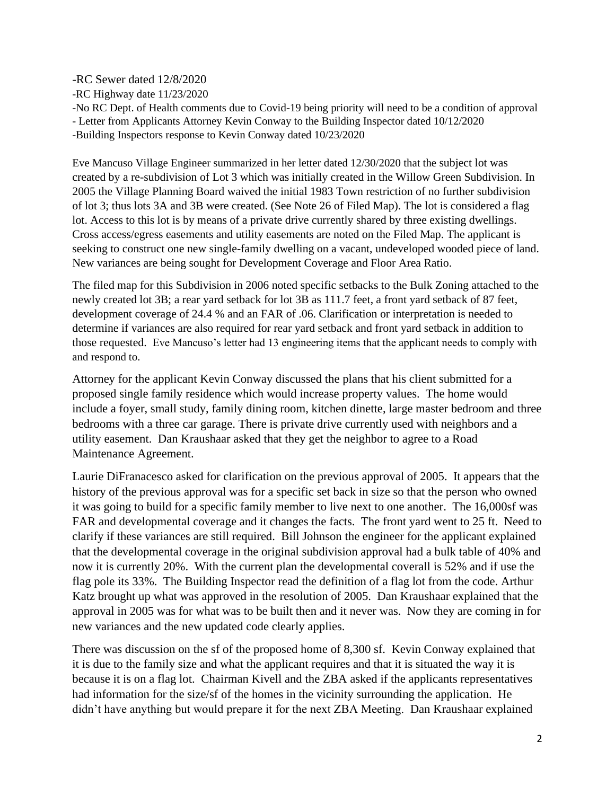-RC Sewer dated 12/8/2020

-RC Highway date 11/23/2020

-No RC Dept. of Health comments due to Covid-19 being priority will need to be a condition of approval - Letter from Applicants Attorney Kevin Conway to the Building Inspector dated 10/12/2020 -Building Inspectors response to Kevin Conway dated 10/23/2020

Eve Mancuso Village Engineer summarized in her letter dated 12/30/2020 that the subject lot was created by a re-subdivision of Lot 3 which was initially created in the Willow Green Subdivision. In 2005 the Village Planning Board waived the initial 1983 Town restriction of no further subdivision of lot 3; thus lots 3A and 3B were created. (See Note 26 of Filed Map). The lot is considered a flag lot. Access to this lot is by means of a private drive currently shared by three existing dwellings. Cross access/egress easements and utility easements are noted on the Filed Map. The applicant is seeking to construct one new single-family dwelling on a vacant, undeveloped wooded piece of land. New variances are being sought for Development Coverage and Floor Area Ratio.

The filed map for this Subdivision in 2006 noted specific setbacks to the Bulk Zoning attached to the newly created lot 3B; a rear yard setback for lot 3B as 111.7 feet, a front yard setback of 87 feet, development coverage of 24.4 % and an FAR of .06. Clarification or interpretation is needed to determine if variances are also required for rear yard setback and front yard setback in addition to those requested. Eve Mancuso's letter had 13 engineering items that the applicant needs to comply with and respond to.

Attorney for the applicant Kevin Conway discussed the plans that his client submitted for a proposed single family residence which would increase property values. The home would include a foyer, small study, family dining room, kitchen dinette, large master bedroom and three bedrooms with a three car garage. There is private drive currently used with neighbors and a utility easement. Dan Kraushaar asked that they get the neighbor to agree to a Road Maintenance Agreement.

Laurie DiFranacesco asked for clarification on the previous approval of 2005. It appears that the history of the previous approval was for a specific set back in size so that the person who owned it was going to build for a specific family member to live next to one another. The 16,000sf was FAR and developmental coverage and it changes the facts. The front yard went to 25 ft. Need to clarify if these variances are still required. Bill Johnson the engineer for the applicant explained that the developmental coverage in the original subdivision approval had a bulk table of 40% and now it is currently 20%. With the current plan the developmental coverall is 52% and if use the flag pole its 33%. The Building Inspector read the definition of a flag lot from the code. Arthur Katz brought up what was approved in the resolution of 2005. Dan Kraushaar explained that the approval in 2005 was for what was to be built then and it never was. Now they are coming in for new variances and the new updated code clearly applies.

There was discussion on the sf of the proposed home of 8,300 sf. Kevin Conway explained that it is due to the family size and what the applicant requires and that it is situated the way it is because it is on a flag lot. Chairman Kivell and the ZBA asked if the applicants representatives had information for the size/sf of the homes in the vicinity surrounding the application. He didn't have anything but would prepare it for the next ZBA Meeting. Dan Kraushaar explained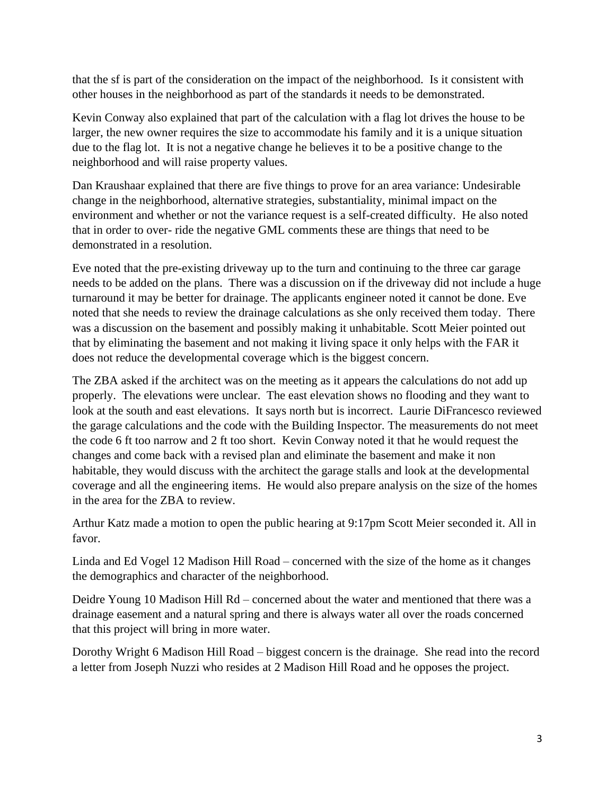that the sf is part of the consideration on the impact of the neighborhood. Is it consistent with other houses in the neighborhood as part of the standards it needs to be demonstrated.

Kevin Conway also explained that part of the calculation with a flag lot drives the house to be larger, the new owner requires the size to accommodate his family and it is a unique situation due to the flag lot. It is not a negative change he believes it to be a positive change to the neighborhood and will raise property values.

Dan Kraushaar explained that there are five things to prove for an area variance: Undesirable change in the neighborhood, alternative strategies, substantiality, minimal impact on the environment and whether or not the variance request is a self-created difficulty. He also noted that in order to over- ride the negative GML comments these are things that need to be demonstrated in a resolution.

Eve noted that the pre-existing driveway up to the turn and continuing to the three car garage needs to be added on the plans. There was a discussion on if the driveway did not include a huge turnaround it may be better for drainage. The applicants engineer noted it cannot be done. Eve noted that she needs to review the drainage calculations as she only received them today. There was a discussion on the basement and possibly making it unhabitable. Scott Meier pointed out that by eliminating the basement and not making it living space it only helps with the FAR it does not reduce the developmental coverage which is the biggest concern.

The ZBA asked if the architect was on the meeting as it appears the calculations do not add up properly. The elevations were unclear. The east elevation shows no flooding and they want to look at the south and east elevations. It says north but is incorrect. Laurie DiFrancesco reviewed the garage calculations and the code with the Building Inspector. The measurements do not meet the code 6 ft too narrow and 2 ft too short. Kevin Conway noted it that he would request the changes and come back with a revised plan and eliminate the basement and make it non habitable, they would discuss with the architect the garage stalls and look at the developmental coverage and all the engineering items. He would also prepare analysis on the size of the homes in the area for the ZBA to review.

Arthur Katz made a motion to open the public hearing at 9:17pm Scott Meier seconded it. All in favor.

Linda and Ed Vogel 12 Madison Hill Road – concerned with the size of the home as it changes the demographics and character of the neighborhood.

Deidre Young 10 Madison Hill Rd – concerned about the water and mentioned that there was a drainage easement and a natural spring and there is always water all over the roads concerned that this project will bring in more water.

Dorothy Wright 6 Madison Hill Road – biggest concern is the drainage. She read into the record a letter from Joseph Nuzzi who resides at 2 Madison Hill Road and he opposes the project.